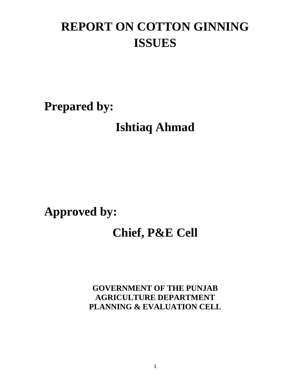# **REPORT ON COTTON GINNING ISSUES**

**Prepared by:**

**Ishtiaq Ahmad**

# **Approved by:**

# **Chief, P&E Cell**

**GOVERNMENT OF THE PUNJAB AGRICULTURE DEPARTMENT PLANNING & EVALUATION CELL**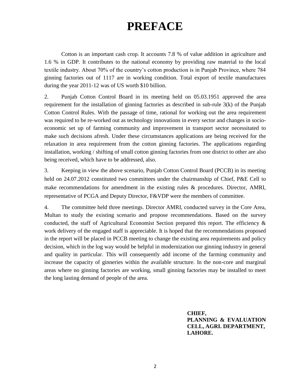# **PREFACE**

Cotton is an important cash crop. It accounts 7.8 % of value addition in agriculture and 1.6 % in GDP. It contributes to the national economy by providing raw material to the local textile industry. About 70% of the country's cotton production is in Punjab Province, where 784 ginning factories out of 1117 are in working condition. Total export of textile manufactures during the year 2011-12 was of US worth \$10 billion.

2. Punjab Cotton Control Board in its meeting held on 05.03.1951 approved the area requirement for the installation of ginning factories as described in sub-rule 3(k) of the Punjab Cotton Control Rules. With the passage of time, rational for working out the area requirement was required to be re-worked out as technology innovations in every sector and changes in socioeconomic set up of farming community and improvement in transport sector necessitated to make such decisions afresh. Under these circumstances applications are being received for the relaxation in area requirement from the cotton ginning factories. The applications regarding installation, working / shifting of small cotton ginning factories from one district to other are also being received, which have to be addressed, also.

3. Keeping in view the above scenario, Punjab Cotton Control Board (PCCB) in its meeting held on 24.07.2012 constituted two committees under the chairmanship of Chief, P&E Cell to make recommendations for amendment in the existing rules & procedures. Director, AMRI, representative of PCGA and Deputy Director, F&VDP were the members of committee.

4. The committee held three meetings. Director AMRI, conducted survey in the Core Area, Multan to study the existing scenario and propose recommendations. Based on the survey conducted, the staff of Agricultural Economist Section prepared this report. The efficiency  $\&$ work delivery of the engaged staff is appreciable. It is hoped that the recommendations proposed in the report will be placed in PCCB meeting to change the existing area requirements and policy decision, which in the log way would be helpful in modernization our ginning industry in general and quality in particular. This will consequently add income of the farming community and increase the capacity of ginneries within the available structure. In the non-core and marginal areas where no ginning factories are working, small ginning factories may be installed to meet the long lasting demand of people of the area.

> **CHIEF, PLANNING & EVALUATION CELL, AGRI. DEPARTMENT, LAHORE.**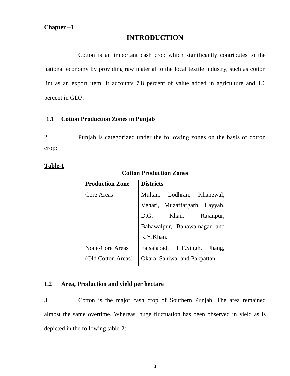# **INTRODUCTION**

Cotton is an important cash crop which significantly contributes to the national economy by providing raw material to the local textile industry, such as cotton lint as an export item. It accounts 7.8 percent of value added in agriculture and 1.6 percent in GDP.

#### **1.1 Cotton Production Zones in Punjab**

2. Punjab is categorized under the following zones on the basis of cotton crop:

# **Table-1**

| <b>Production Zone</b> | <b>Districts</b>              |  |  |
|------------------------|-------------------------------|--|--|
| Core Areas             | Multan, Lodhran, Khanewal,    |  |  |
|                        | Vehari, Muzaffargarh, Layyah, |  |  |
|                        | D.G.<br>Rajanpur,<br>Khan,    |  |  |
|                        | Bahawalpur, Bahawalnagar and  |  |  |
|                        | R.Y.Khan.                     |  |  |
| None-Core Areas        | Faisalabad, T.T.Singh, Jhang, |  |  |
| (Old Cotton Areas)     | Okara, Sahiwal and Pakpattan. |  |  |

# **Cotton Production Zones**

# **1.2 Area, Production and yield per hectare**

3. Cotton is the major cash crop of Southern Punjab. The area remained almost the same overtime. Whereas, huge fluctuation has been observed in yield as is depicted in the following table-2: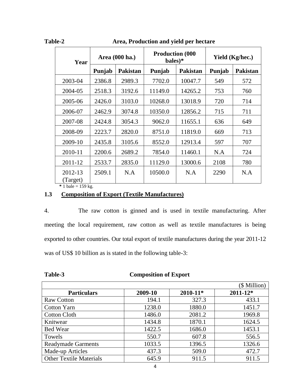Area, Production and yield per hectare

| Year                                        | Area (000 ha.) |                 | <b>Production (000)</b><br>bales)* |                 | Yield (Kg/hec.) |                 |
|---------------------------------------------|----------------|-----------------|------------------------------------|-----------------|-----------------|-----------------|
|                                             | Punjab         | <b>Pakistan</b> | Punjab                             | <b>Pakistan</b> | Punjab          | <b>Pakistan</b> |
| 2003-04                                     | 2386.8         | 2989.3          | 7702.0                             | 10047.7         | 549             | 572             |
| 2004-05                                     | 2518.3         | 3192.6          | 11149.0                            | 14265.2         | 753             | 760             |
| 2005-06                                     | 2426.0         | 3103.0          | 10268.0                            | 13018.9         | 720             | 714             |
| 2006-07                                     | 2462.9         | 3074.8          | 10350.0                            | 12856.2         | 715             | 711             |
| 2007-08                                     | 2424.8         | 3054.3          | 9062.0                             | 11655.1         | 636             | 649             |
| 2008-09                                     | 2223.7         | 2820.0          | 8751.0                             | 11819.0         | 669             | 713             |
| 2009-10                                     | 2435.8         | 3105.6          | 8552.0                             | 12913.4         | 597             | 707             |
| 2010-11                                     | 2200.6         | 2689.2          | 7854.0                             | 11460.1         | N.A             | 724             |
| 2011-12                                     | 2533.7         | 2835.0          | 11129.0                            | 13000.6         | 2108            | 780             |
| 2012-13<br>(Target)<br>$* 1$ bale = 159 kg. | 2509.1         | N.A             | 10500.0                            | N.A             | 2290            | N.A             |

# **1.3 Composition of Export (Textile Manufactures)**

4. The raw cotton is ginned and is used in textile manufacturing. After meeting the local requirement, raw cotton as well as textile manufactures is being exported to other countries. Our total export of textile manufactures during the year 2011-12 was of US\$ 10 billion as is stated in the following table-3:

| .                              | Composition of Export |              |              |
|--------------------------------|-----------------------|--------------|--------------|
|                                |                       |              | (\$ Million) |
| <b>Particulars</b>             | 2009-10               | $2010 - 11*$ | $2011 - 12*$ |
| <b>Raw Cotton</b>              | 194.1                 | 327.3        | 433.1        |
| <b>Cotton Yarn</b>             | 1238.0                | 1880.0       | 1451.7       |
| <b>Cotton Cloth</b>            | 1486.0                | 2081.2       | 1969.8       |
| Knitwear                       | 1434.8                | 1870.1       | 1624.5       |
| <b>Bed Wear</b>                | 1422.5                | 1686.0       | 1453.1       |
| Towels                         | 550.7                 | 607.8        | 556.5        |
| <b>Readymade Garments</b>      | 1033.5                | 1396.5       | 1326.6       |
| Made-up Articles               | 437.3                 | 509.0        | 472.7        |
| <b>Other Textile Materials</b> | 645.9                 | 911.5        | 911.5        |

**Table-3 Composition of Export**

4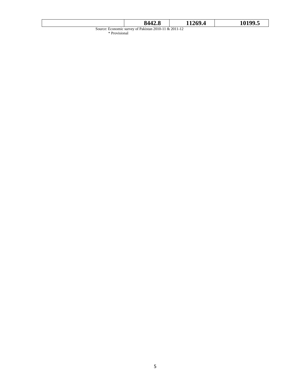|                                                                        | 8442.8 | 11269.4 | 10199.5 |  |  |
|------------------------------------------------------------------------|--------|---------|---------|--|--|
| Source: Economic survey of Pakistan 2010-11 & 2011-12<br>* Provisional |        |         |         |  |  |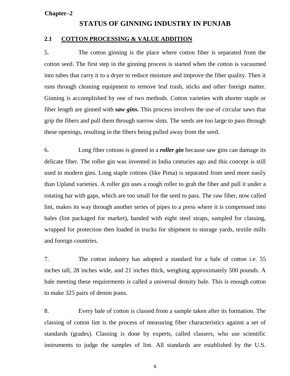#### **Chapter–2**

#### **STATUS OF GINNING INDUSTRY IN PUNJAB**

#### **2.1 COTTON PROCESSING & VALUE ADDITION**

5. The cotton ginning is the place where cotton fiber is separated from the cotton seed. The first step in the ginning process is started when the cotton is vacuumed into tubes that carry it to a dryer to reduce moisture and improve the fiber quality. Then it runs through cleaning equipment to remove leaf trash, sticks and other foreign matter. Ginning is accomplished by one of two methods. Cotton varieties with shorter staple or fiber length are ginned with *saw gins***.** This process involves the use of circular saws that grip the fibers and pull them through narrow slots. The seeds are too large to pass through these openings, resulting in the fibers being pulled away from the seed.

6. Long fiber cottons is ginned in a *roller gin* because saw gins can damage its delicate fiber. The roller gin was invented in India centuries ago and this concept is still used in modern gins. Long staple cottons (like Pima) is separated from seed more easily than Upland varieties. A roller gin uses a rough roller to grab the fiber and pull it under a rotating bar with gaps, which are too small for the seed to pass. The raw fiber, now called lint, makes its way through another series of pipes to a press where it is compressed into bales (lint packaged for market), banded with eight steel straps, sampled for classing, wrapped for protection then loaded in trucks for shipment to storage yards, textile mills and foreign countries.

7. The cotton industry has adopted a standard for a bale of cotton i.e. 55 inches tall, 28 inches wide, and 21 inches thick, weighing approximately 500 pounds. A bale meeting these requirements is called a universal density bale. This is enough cotton to make 325 pairs of denim jeans.

8. Every bale of cotton is classed from a sample taken after its formation. The classing of cotton lint is the process of measuring fiber characteristics against a set of standards (grades). Classing is done by experts, called classers, who use scientific instruments to judge the samples of lint. All standards are established by the U.S.

6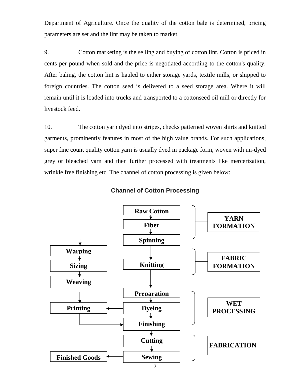Department of Agriculture. Once the quality of the cotton bale is determined, pricing parameters are set and the lint may be taken to market.

9. Cotton marketing is the selling and buying of cotton lint. Cotton is priced in cents per pound when sold and the price is negotiated according to the cotton's quality. After baling, the cotton lint is hauled to either storage yards, textile mills, or shipped to foreign countries. The cotton seed is delivered to a seed storage area. Where it will remain until it is loaded into trucks and transported to a cottonseed oil mill or directly for livestock feed.

10. The cotton yarn dyed into stripes, checks patterned woven shirts and knitted garments, prominently features in most of the high value brands. For such applications, super fine count quality cotton yarn is usually dyed in package form, woven with un-dyed grey or bleached yarn and then further processed with treatments like mercerization, wrinkle free finishing etc. The channel of cotton processing is given below:



#### **Channel of Cotton Processing**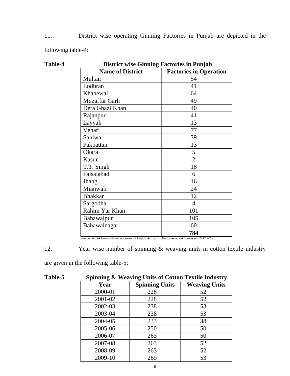11. District wise operating Ginning Factories in Punjab are depicted in the following table-4:

| <b>District wise Ginning Factories in Punjab</b> |                               |  |  |
|--------------------------------------------------|-------------------------------|--|--|
| <b>Name of District</b>                          | <b>Factories in Operation</b> |  |  |
| Multan                                           | 54                            |  |  |
| Lodhran                                          | 41                            |  |  |
| Khanewal                                         | 64                            |  |  |
| Muzaffar Garh                                    | 49                            |  |  |
| Dera Ghazi Khan                                  | 40                            |  |  |
| Rajanpur                                         | 41                            |  |  |
| Layyah                                           | 13                            |  |  |
| Vehari                                           | 77                            |  |  |
| Sahiwal                                          | 39                            |  |  |
| Pakpattan                                        | 13                            |  |  |
| Okara                                            | 5                             |  |  |
| Kasur                                            | $\overline{2}$                |  |  |
| T.T. Singh                                       | 18                            |  |  |
| Faisalabad                                       | 6                             |  |  |
| Jhang                                            | 16                            |  |  |
| Mianwali                                         | 24                            |  |  |
| <b>Bhakkar</b>                                   | 12                            |  |  |
| Sargodha                                         | $\overline{4}$                |  |  |
| Rahim Yar Khan                                   | 101                           |  |  |
| Bahawalpur                                       | 105                           |  |  |
| Bahawalnagar                                     | 60                            |  |  |
|                                                  | 784                           |  |  |

Table-4

Source: PCGA Consolidated Statement of Cotton Arrivals in Factories of Pakistan as on 15.12.2012

12. Year wise number of spinning & weaving units in cotton textile industry

are given in the following table-5:

| <b>Table-5</b> | <b>Spinning &amp; Weaving Units of Cotton Textile Industry</b> |                       |                      |  |  |
|----------------|----------------------------------------------------------------|-----------------------|----------------------|--|--|
|                | Year                                                           | <b>Spinning Units</b> | <b>Weaving Units</b> |  |  |
|                | 2000-01                                                        | 228                   | 52                   |  |  |
|                | 2001-02                                                        | 228                   | 52                   |  |  |
|                | 2002-03                                                        | 238                   | 53                   |  |  |
|                | 2003-04                                                        | 238                   | 53                   |  |  |
|                | 2004-05                                                        | 233                   | 38                   |  |  |
|                | 2005-06                                                        | 250                   | 50                   |  |  |
|                | 2006-07                                                        | 263                   | 50                   |  |  |
|                | 2007-08                                                        | 263                   | 52                   |  |  |
|                | 2008-09                                                        | 263                   | 52                   |  |  |
|                | 2009-10                                                        | 269                   | 53                   |  |  |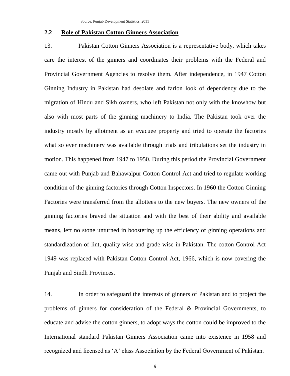#### **2.2 Role of Pakistan Cotton Ginners Association**

13. Pakistan Cotton Ginners Association is a representative body, which takes care the interest of the ginners and coordinates their problems with the Federal and Provincial Government Agencies to resolve them. After independence, in 1947 Cotton Ginning Industry in Pakistan had desolate and farlon look of dependency due to the migration of Hindu and Sikh owners, who left Pakistan not only with the knowhow but also with most parts of the ginning machinery to India. The Pakistan took over the industry mostly by allotment as an evacuee property and tried to operate the factories what so ever machinery was available through trials and tribulations set the industry in motion. This happened from 1947 to 1950. During this period the Provincial Government came out with Punjab and Bahawalpur Cotton Control Act and tried to regulate working condition of the ginning factories through Cotton Inspectors. In 1960 the Cotton Ginning Factories were transferred from the allottees to the new buyers. The new owners of the ginning factories braved the situation and with the best of their ability and available means, left no stone unturned in boostering up the efficiency of ginning operations and standardization of lint, quality wise and grade wise in Pakistan. The cotton Control Act 1949 was replaced with Pakistan Cotton Control Act, 1966, which is now covering the Punjab and Sindh Provinces.

14. In order to safeguard the interests of ginners of Pakistan and to project the problems of ginners for consideration of the Federal & Provincial Governments, to educate and advise the cotton ginners, to adopt ways the cotton could be improved to the International standard Pakistan Ginners Association came into existence in 1958 and recognized and licensed as 'A' class Association by the Federal Government of Pakistan.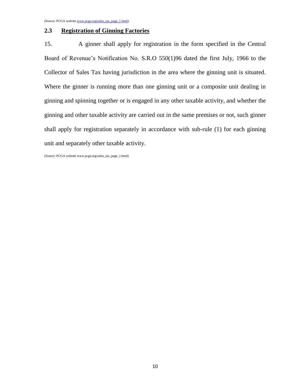#### **2.3 Registration of Ginning Factories**

15. A ginner shall apply for registration in the form specified in the Central Board of Revenue's Notification No. S.R.O 550(1)96 dated the first July, 1966 to the Collector of Sales Tax having jurisdiction in the area where the ginning unit is situated. Where the ginner is running more than one ginning unit or a composite unit dealing in ginning and spinning together or is engaged in any other taxable activity, and whether the ginning and other taxable activity are carried out in the same premises or not, such ginner shall apply for registration separately in accordance with sub-rule (1) for each ginning unit and separately other taxable activity.

(Source: PCGA website www.pcga.org/sales\_tax\_page\_1.html)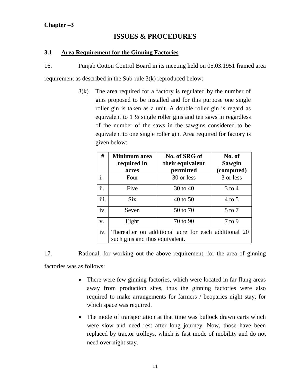# **Chapter –3**

# **ISSUES & PROCEDURES**

#### **3.1 Area Requirement for the Ginning Factories**

16. Punjab Cotton Control Board in its meeting held on 05.03.1951 framed area

requirement as described in the Sub-rule 3(k) reproduced below:

3(k) The area required for a factory is regulated by the number of gins proposed to be installed and for this purpose one single roller gin is taken as a unit. A double roller gin is regard as equivalent to  $1\frac{1}{2}$  single roller gins and ten saws in regardless of the number of the saws in the sawgins considered to be equivalent to one single roller gin. Area required for factory is given below:

| #                         | Minimum area<br>required in<br>acres | No. of SRG of<br>their equivalent<br>permitted       | No. of<br>Sawgin<br>(computed) |
|---------------------------|--------------------------------------|------------------------------------------------------|--------------------------------|
| i.                        | Four                                 | 30 or less                                           | 3 or less                      |
| ii.                       | Five                                 | 30 to 40                                             | $3$ to 4                       |
| $\overline{\text{iii}}$ . | <b>Six</b>                           | 40 to 50                                             | $4$ to 5                       |
| iv.                       | Seven                                | 50 to 70                                             | $5$ to $7$                     |
| V.                        | Eight                                | 70 to 90                                             | $7$ to 9                       |
| iv.                       |                                      | Thereafter on additional acre for each additional 20 |                                |
|                           | such gins and thus equivalent.       |                                                      |                                |

17. Rational, for working out the above requirement, for the area of ginning factories was as follows:

- There were few ginning factories, which were located in far flung areas away from production sites, thus the ginning factories were also required to make arrangements for farmers / beoparies night stay, for which space was required.
- The mode of transportation at that time was bullock drawn carts which were slow and need rest after long journey. Now, those have been replaced by tractor trolleys, which is fast mode of mobility and do not need over night stay.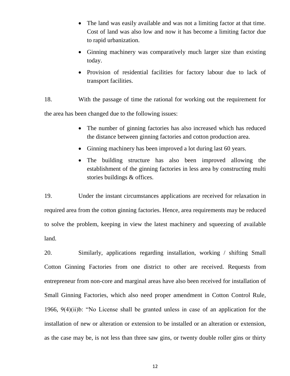- The land was easily available and was not a limiting factor at that time. Cost of land was also low and now it has become a limiting factor due to rapid urbanization.
- Ginning machinery was comparatively much larger size than existing today.
- Provision of residential facilities for factory labour due to lack of transport facilities.
- 18. With the passage of time the rational for working out the requirement for the area has been changed due to the following issues:
	- The number of ginning factories has also increased which has reduced the distance between ginning factories and cotton production area.
	- Ginning machinery has been improved a lot during last 60 years.
	- The building structure has also been improved allowing the establishment of the ginning factories in less area by constructing multi stories buildings & offices.

19. Under the instant circumstances applications are received for relaxation in required area from the cotton ginning factories. Hence, area requirements may be reduced to solve the problem, keeping in view the latest machinery and squeezing of available land.

20. Similarly, applications regarding installation, working / shifting Small Cotton Ginning Factories from one district to other are received. Requests from entrepreneur from non-core and marginal areas have also been received for installation of Small Ginning Factories, which also need proper amendment in Cotton Control Rule, 1966, 9(4)(ii)b: "No License shall be granted unless in case of an application for the installation of new or alteration or extension to be installed or an alteration or extension, as the case may be, is not less than three saw gins, or twenty double roller gins or thirty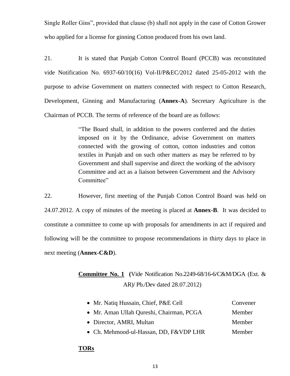Single Roller Gins", provided that clause (b) shall not apply in the case of Cotton Grower who applied for a license for ginning Cotton produced from his own land.

21. It is stated that Punjab Cotton Control Board (PCCB) was reconstituted vide Notification No. 6937-60/10(16) Vol-II/P&EC/2012 dated 25-05-2012 with the purpose to advise Government on matters connected with respect to Cotton Research, Development, Ginning and Manufacturing (**Annex-A**). Secretary Agriculture is the Chairman of PCCB. The terms of reference of the board are as follows:

> "The Board shall, in addition to the powers conferred and the duties imposed on it by the Ordinance, advise Government on matters connected with the growing of cotton, cotton industries and cotton textiles in Punjab and on such other matters as may be referred to by Government and shall supervise and direct the working of the advisory Committee and act as a liaison between Government and the Advisory Committee"

22. However, first meeting of the Punjab Cotton Control Board was held on 24.07.2012. A copy of minutes of the meeting is placed at **Annex-B**. It was decided to constitute a committee to come up with proposals for amendments in act if required and following will be the committee to propose recommendations in thirty days to place in next meeting (**Annex-C&D**).

# **Committee No. 1 (**Vide Notification No.2249-68/16-6/C&M/DGA (Ext. & AR)/ Pb./Dev dated 28.07.2012)

| • Mr. Natiq Hussain, Chief, P&E Cell     | Convener |
|------------------------------------------|----------|
| • Mr. Aman Ullah Qureshi, Chairman, PCGA | Member   |
| • Director, AMRI, Multan                 | Member   |
| • Ch. Mehmood-ul-Hassan, DD, F&VDP LHR   | Member   |

#### **TORs**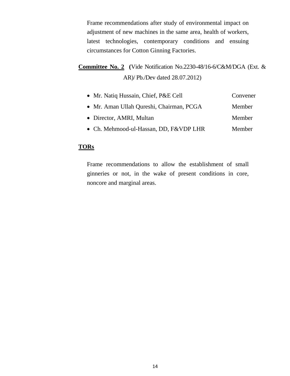Frame recommendations after study of environmental impact on adjustment of new machines in the same area, health of workers, latest technologies, contemporary conditions and ensuing circumstances for Cotton Ginning Factories.

**Committee No. 2 (**Vide Notification No.2230-48/16-6/C&M/DGA (Ext. & AR)/ Pb./Dev dated 28.07.2012)

| • Mr. Natiq Hussain, Chief, P&E Cell     | Convener |
|------------------------------------------|----------|
| • Mr. Aman Ullah Qureshi, Chairman, PCGA | Member   |
| • Director, AMRI, Multan                 | Member   |
| • Ch. Mehmood-ul-Hassan, DD, F&VDP LHR   | Member   |

### **TORs**

Frame recommendations to allow the establishment of small ginneries or not, in the wake of present conditions in core, noncore and marginal areas.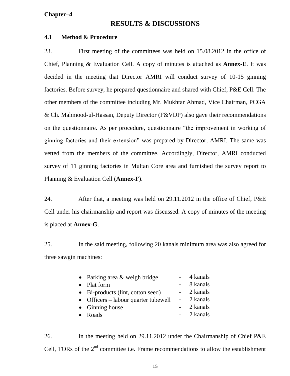#### **Chapter–4**

# **RESULTS & DISCUSSIONS**

#### **4.1 Method & Procedure**

23. First meeting of the committees was held on 15.08.2012 in the office of Chief, Planning & Evaluation Cell. A copy of minutes is attached as **Annex-E**. It was decided in the meeting that Director AMRI will conduct survey of 10-15 ginning factories. Before survey, he prepared questionnaire and shared with Chief, P&E Cell. The other members of the committee including Mr. Mukhtar Ahmad, Vice Chairman, PCGA & Ch. Mahmood-ul-Hassan, Deputy Director (F&VDP) also gave their recommendations on the questionnaire. As per procedure, questionnaire "the improvement in working of ginning factories and their extension" was prepared by Director, AMRI. The same was vetted from the members of the committee. Accordingly, Director, AMRI conducted survey of 11 ginning factories in Multan Core area and furnished the survey report to Planning & Evaluation Cell (**Annex-F**).

24. After that, a meeting was held on 29.11.2012 in the office of Chief, P&E Cell under his chairmanship and report was discussed. A copy of minutes of the meeting is placed at **Annex-G**.

25. In the said meeting, following 20 kanals minimum area was also agreed for three sawgin machines:

|                                        | 4 kanals   |
|----------------------------------------|------------|
|                                        | 8 kanals   |
|                                        | - 2 kanals |
| • Officers $-$ labour quarter tubewell | - 2 kanals |
|                                        | 2 kanals   |
|                                        | - 2 kanals |
|                                        |            |

26. In the meeting held on 29.11.2012 under the Chairmanship of Chief P&E Cell, TORs of the  $2<sup>nd</sup>$  committee i.e. Frame recommendations to allow the establishment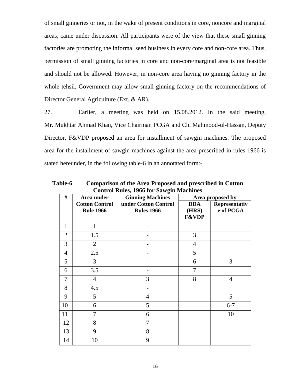of small ginneries or not, in the wake of present conditions in core, noncore and marginal areas, came under discussion. All participants were of the view that these small ginning factories are promoting the informal seed business in every core and non-core area. Thus, permission of small ginning factories in core and non-core/marginal area is not feasible and should not be allowed. However, in non-core area having no ginning factory in the whole tehsil, Government may allow small ginning factory on the recommendations of Director General Agriculture (Ext. & AR).

27. Earlier, a meeting was held on 15.08.2012. In the said meeting, Mr. Mukhtar Ahmad Khan, Vice Chairman PCGA and Ch. Mahmood-ul-Hassan, Deputy Director, F&VDP proposed an area for installment of sawgin machines. The proposed area for the installment of sawgin machines against the area prescribed in rules 1966 is stated hereunder, in the following table-6 in an annotated form:-

**Table-6 Comparison of the Area Proposed and prescribed in Cotton Control Rules, 1966 for Sawgin Machines**

| Control Rules, 1900 for Sawgin Machines |                                           |                                           |                                         |                            |  |  |  |
|-----------------------------------------|-------------------------------------------|-------------------------------------------|-----------------------------------------|----------------------------|--|--|--|
| #                                       | Area under                                | <b>Ginning Machines</b>                   | Area proposed by                        |                            |  |  |  |
|                                         | <b>Cotton Control</b><br><b>Rule 1966</b> | under Cotton Control<br><b>Rules 1966</b> | <b>DDA</b><br>(HRS)<br><b>F&amp;VDP</b> | Representativ<br>e of PCGA |  |  |  |
| 1                                       | $\mathbf{1}$                              |                                           |                                         |                            |  |  |  |
| $\overline{2}$                          | 1.5                                       |                                           | 3                                       |                            |  |  |  |
| 3                                       | $\overline{2}$                            |                                           | $\overline{4}$                          |                            |  |  |  |
| $\overline{4}$                          | 2.5                                       |                                           | 5                                       |                            |  |  |  |
| 5                                       | $\overline{3}$                            |                                           | 6                                       | 3                          |  |  |  |
| 6                                       | 3.5                                       |                                           | 7                                       |                            |  |  |  |
| $\overline{7}$                          | $\overline{4}$                            | 3                                         | 8                                       | $\overline{4}$             |  |  |  |
| 8                                       | 4.5                                       |                                           |                                         |                            |  |  |  |
| 9                                       | 5                                         | $\overline{4}$                            |                                         | 5                          |  |  |  |
| 10                                      | 6                                         | 5                                         |                                         | $6 - 7$                    |  |  |  |
| 11                                      | 7                                         | 6                                         |                                         | 10                         |  |  |  |
| 12                                      | 8                                         | 7                                         |                                         |                            |  |  |  |
| 13                                      | 9                                         | 8                                         |                                         |                            |  |  |  |
| 14                                      | 10                                        | 9                                         |                                         |                            |  |  |  |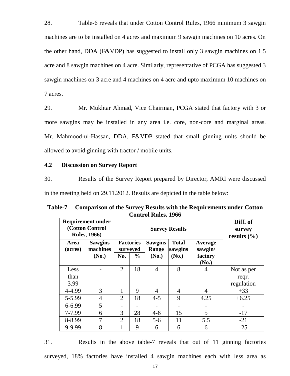28. Table-6 reveals that under Cotton Control Rules, 1966 minimum 3 sawgin machines are to be installed on 4 acres and maximum 9 sawgin machines on 10 acres. On the other hand, DDA (F&VDP) has suggested to install only 3 sawgin machines on 1.5 acre and 8 sawgin machines on 4 acre. Similarly, representative of PCGA has suggested 3 sawgin machines on 3 acre and 4 machines on 4 acre and upto maximum 10 machines on 7 acres.

29. Mr. Mukhtar Ahmad, Vice Chairman, PCGA stated that factory with 3 or more sawgins may be installed in any area i.e. core, non-core and marginal areas. Mr. Mahmood-ul-Hassan, DDA, F&VDP stated that small ginning units should be allowed to avoid ginning with tractor / mobile units.

#### **4.2 Discussion on Survey Report**

30. Results of the Survey Report prepared by Director, AMRI were discussed in the meeting held on 29.11.2012. Results are depicted in the table below:

| <b>Requirement under</b><br>(Cotton Control<br><b>Rules, 1966)</b> |                                     | <b>Survey Results</b> |                                               |                                  |                                  |                                               | Diff. of<br>survey<br>results $(\% )$ |
|--------------------------------------------------------------------|-------------------------------------|-----------------------|-----------------------------------------------|----------------------------------|----------------------------------|-----------------------------------------------|---------------------------------------|
| Area<br>(acres)                                                    | <b>Sawgins</b><br>machines<br>(No.) | No.                   | <b>Factories</b><br>surveyed<br>$\frac{6}{9}$ | <b>Sawgins</b><br>Range<br>(No.) | <b>Total</b><br>sawgins<br>(No.) | <b>Average</b><br>sawgin/<br>factory<br>(No.) |                                       |
| Less<br>than<br>3.99                                               |                                     | $\overline{2}$        | 18                                            | $\overline{4}$                   | 8                                | 4                                             | Not as per<br>reqr.<br>regulation     |
| 4-4.99                                                             | 3                                   | 1                     | 9                                             | $\overline{4}$                   | $\overline{4}$                   | $\overline{4}$                                | $+33$                                 |
| 5-5.99                                                             | $\overline{4}$                      | $\overline{2}$        | 18                                            | $4 - 5$                          | 9                                | 4.25                                          | $+6.25$                               |
| 6-6.99                                                             | 5                                   |                       |                                               |                                  |                                  |                                               |                                       |
| 7-7.99                                                             | 6                                   | 3                     | 28                                            | $4 - 6$                          | 15                               | 5                                             | $-17$                                 |
| 8-8.99                                                             | 7                                   | $\overline{2}$        | 18                                            | $5 - 6$                          | 11                               | 5.5                                           | $-21$                                 |
| 9-9.99                                                             | 8                                   |                       | 9                                             | 6                                | 6                                | 6                                             | $-25$                                 |

**Table-7 Comparison of the Survey Results with the Requirements under Cotton Control Rules, 1966**

31. Results in the above table-7 reveals that out of 11 ginning factories surveyed, 18% factories have installed 4 sawgin machines each with less area as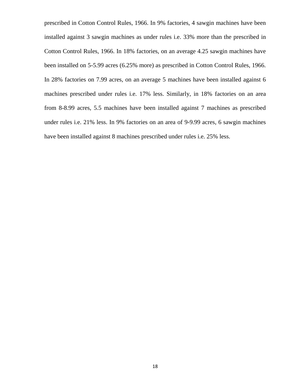prescribed in Cotton Control Rules, 1966. In 9% factories, 4 sawgin machines have been installed against 3 sawgin machines as under rules i.e. 33% more than the prescribed in Cotton Control Rules, 1966. In 18% factories, on an average 4.25 sawgin machines have been installed on 5-5.99 acres (6.25% more) as prescribed in Cotton Control Rules, 1966. In 28% factories on 7.99 acres, on an average 5 machines have been installed against 6 machines prescribed under rules i.e. 17% less. Similarly, in 18% factories on an area from 8-8.99 acres, 5.5 machines have been installed against 7 machines as prescribed under rules i.e. 21% less. In 9% factories on an area of 9-9.99 acres, 6 sawgin machines have been installed against 8 machines prescribed under rules i.e. 25% less.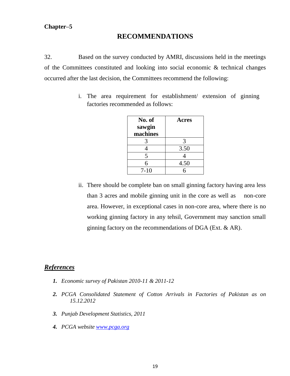# **RECOMMENDATIONS**

32. Based on the survey conducted by AMRI, discussions held in the meetings of the Committees constituted and looking into social economic & technical changes occurred after the last decision, the Committees recommend the following:

> i. The area requirement for establishment/ extension of ginning factories recommended as follows:

| No. of   | Acres |
|----------|-------|
| sawgin   |       |
| machines |       |
| 3        | 3     |
| 4        | 3.50  |
| 5        |       |
| 6        | 4.50  |
| $7 - 10$ | 6     |

ii. There should be complete ban on small ginning factory having area less than 3 acres and mobile ginning unit in the core as well as non-core area. However, in exceptional cases in non-core area, where there is no working ginning factory in any tehsil, Government may sanction small ginning factory on the recommendations of DGA (Ext. & AR).

# *References*

- *1. Economic survey of Pakistan 2010-11 & 2011-12*
- *2. PCGA Consolidated Statement of Cotton Arrivals in Factories of Pakistan as on 15.12.2012*
- *3. Punjab Development Statistics, 2011*
- *4. PCGA website [www.pcga.org](http://www.pcga.org/)*